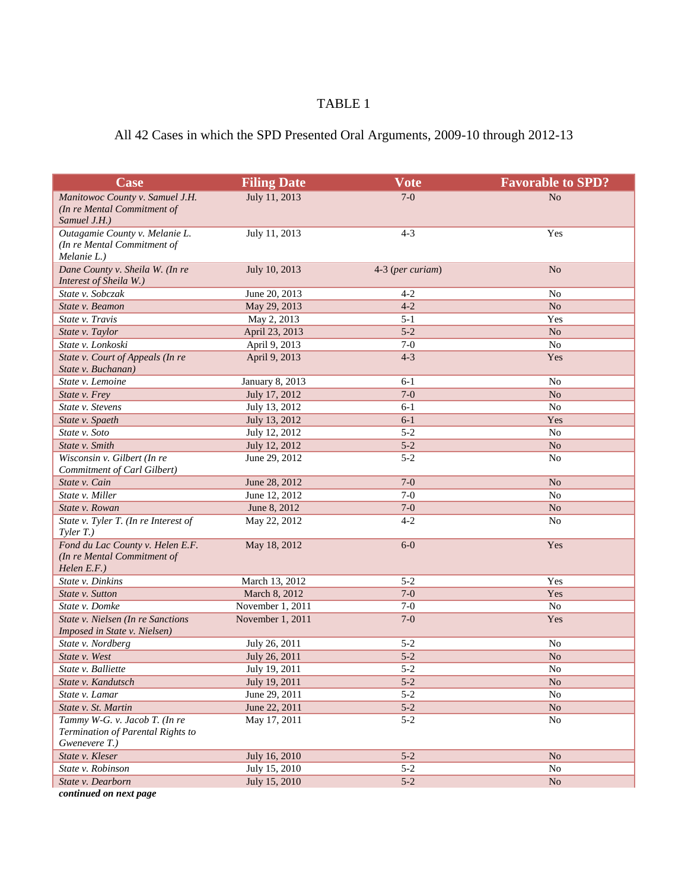## TABLE 1

## All 42 Cases in which the SPD Presented Oral Arguments, 2009-10 through 2012-13

| Case                                               | <b>Filing Date</b>                | <b>Vote</b>      | <b>Favorable to SPD?</b> |
|----------------------------------------------------|-----------------------------------|------------------|--------------------------|
| Manitowoc County v. Samuel J.H.                    | July 11, 2013                     | $7-0$            | N <sub>o</sub>           |
| (In re Mental Commitment of                        |                                   |                  |                          |
| Samuel J.H.)                                       |                                   |                  |                          |
| Outagamie County v. Melanie L.                     | July 11, 2013                     | $4 - 3$          | Yes                      |
| (In re Mental Commitment of                        |                                   |                  |                          |
| Melanie L.)                                        |                                   |                  |                          |
| Dane County v. Sheila W. (In re                    | July 10, 2013                     | 4-3 (per curiam) | N <sub>o</sub>           |
| Interest of Sheila W.)                             |                                   |                  |                          |
| State v. Sobczak                                   | June 20, 2013                     | $4 - 2$          | No                       |
| State v. Beamon                                    | May 29, 2013                      | $4 - 2$          | No                       |
| State v. Travis                                    | May 2, 2013                       | $5 - 1$          | Yes                      |
| State v. Taylor                                    | April 23, 2013                    | $5 - 2$          | N <sub>o</sub>           |
| State v. Lonkoski                                  | April 9, 2013                     | $7-0$            | N <sub>o</sub>           |
| State v. Court of Appeals (In re                   | April 9, 2013                     | $4 - 3$          | Yes                      |
| State v. Buchanan)                                 |                                   |                  |                          |
| State v. Lemoine                                   | January 8, 2013                   | $6 - 1$          | No                       |
| State v. Frey                                      | July 17, 2012                     | $7-0$            | No                       |
| State v. Stevens                                   | July 13, 2012                     | $6 - 1$          | No                       |
| State v. Spaeth                                    | July 13, 2012                     | $6 - 1$          | Yes                      |
| State v. Soto                                      | July 12, 2012                     | $5 - 2$          | N <sub>o</sub>           |
| State v. Smith                                     | July 12, 2012                     | $5 - 2$          | N <sub>o</sub>           |
| Wisconsin v. Gilbert (In re                        | June 29, 2012                     | $5 - 2$          | N <sub>o</sub>           |
| Commitment of Carl Gilbert)                        |                                   |                  |                          |
| State v. Cain                                      | June 28, 2012                     | $7-0$            | No                       |
| State v. Miller                                    | June 12, 2012                     | $7-0$            | No                       |
| State v. Rowan                                     | June 8, 2012                      | $7-0$            | No                       |
| State v. Tyler T. (In re Interest of               | May 22, 2012                      | $4 - 2$          | N <sub>o</sub>           |
| $T yler T.$ )                                      |                                   |                  |                          |
| Fond du Lac County v. Helen E.F.                   | May 18, 2012                      | $6-0$            | Yes                      |
| (In re Mental Commitment of                        |                                   |                  |                          |
| Helen E.F.)<br>State v. Dinkins                    | March 13, 2012                    | $5 - 2$          | Yes                      |
| State v. Sutton                                    |                                   | $7-0$            | Yes                      |
| State v. Domke                                     | March 8, 2012<br>November 1, 2011 | $7-0$            | N <sub>o</sub>           |
| State v. Nielsen (In re Sanctions                  | November 1, 2011                  | $7-0$            | Yes                      |
| Imposed in State v. Nielsen)                       |                                   |                  |                          |
| State v. Nordberg                                  | July 26, 2011                     | $5 - 2$          | No                       |
| State v. West                                      | July 26, 2011                     | $5 - 2$          | $\rm No$                 |
| State v. Balliette                                 | July 19, 2011                     | $5 - 2$          | N <sub>o</sub>           |
| State v. Kandutsch                                 |                                   | $5 - 2$          | N <sub>o</sub>           |
|                                                    | July 19, 2011                     | $5 - 2$          |                          |
| State v. Lamar                                     | June 29, 2011                     |                  | No                       |
| State v. St. Martin                                | June 22, 2011                     | $5-2$            | No                       |
| Tammy W-G. v. Jacob T. (In re                      | May 17, 2011                      | $5 - 2$          | No                       |
| Termination of Parental Rights to<br>Gwenevere T.) |                                   |                  |                          |
| State v. Kleser                                    | July 16, 2010                     | $5 - 2$          | $\rm No$                 |
| State v. Robinson                                  | July 15, 2010                     | $5 - 2$          | No                       |
| State v. Dearborn                                  | July 15, 2010                     | $5-2$            | N <sub>o</sub>           |
|                                                    |                                   |                  |                          |

*continued on next page*